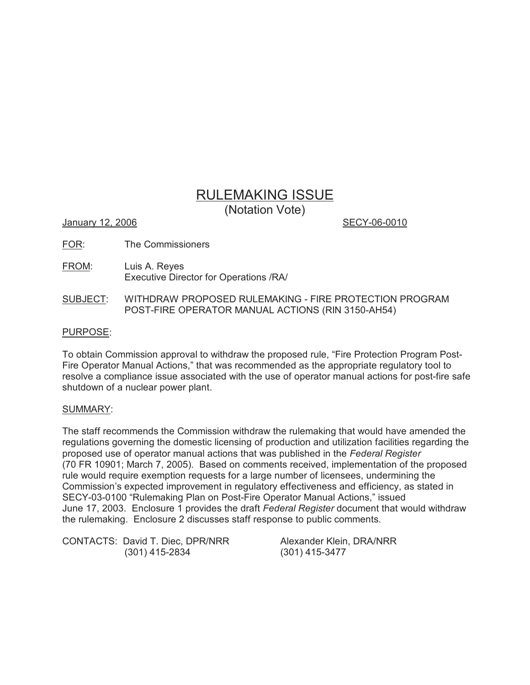# RULEMAKING ISSUE

(Notation Vote)

January 12, 2006 **SECY-06-0010** 

- FOR: The Commissioners
- FROM: Luis A. Reyes Executive Director for Operations /RA/
- SUBJECT: WITHDRAW PROPOSED RULEMAKING FIRE PROTECTION PROGRAM POST-FIRE OPERATOR MANUAL ACTIONS (RIN 3150-AH54)

# PURPOSE:

To obtain Commission approval to withdraw the proposed rule, "Fire Protection Program Post-Fire Operator Manual Actions," that was recommended as the appropriate regulatory tool to resolve a compliance issue associated with the use of operator manual actions for post-fire safe shutdown of a nuclear power plant.

# SUMMARY:

The staff recommends the Commission withdraw the rulemaking that would have amended the regulations governing the domestic licensing of production and utilization facilities regarding the proposed use of operator manual actions that was published in the *Federal Register* (70 FR 10901; March 7, 2005). Based on comments received, implementation of the proposed rule would require exemption requests for a large number of licensees, undermining the Commission's expected improvement in regulatory effectiveness and efficiency, as stated in SECY-03-0100 "Rulemaking Plan on Post-Fire Operator Manual Actions," issued June 17, 2003. Enclosure 1 provides the draft *Federal Register* document that would withdraw the rulemaking. Enclosure 2 discusses staff response to public comments.

CONTACTS: David T. Diec, DPR/NRR Alexander Klein, DRA/NRR (301) 415-2834 (301) 415-3477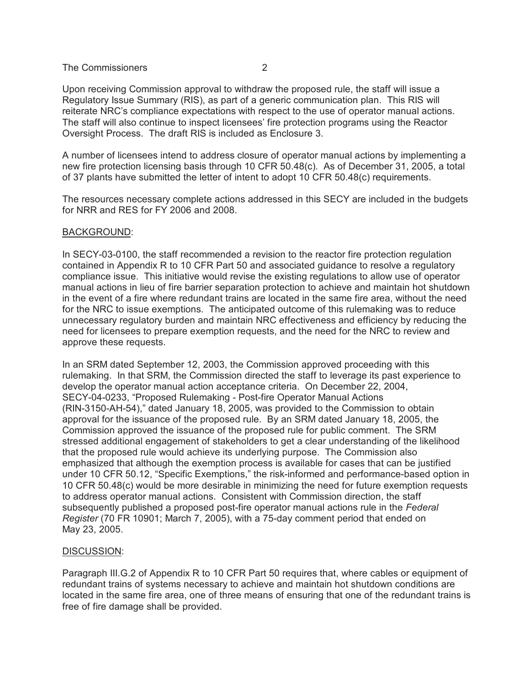Upon receiving Commission approval to withdraw the proposed rule, the staff will issue a Regulatory Issue Summary (RIS), as part of a generic communication plan. This RIS will reiterate NRC's compliance expectations with respect to the use of operator manual actions. The staff will also continue to inspect licensees' fire protection programs using the Reactor Oversight Process. The draft RIS is included as Enclosure 3.

A number of licensees intend to address closure of operator manual actions by implementing a new fire protection licensing basis through 10 CFR 50.48(c). As of December 31, 2005, a total of 37 plants have submitted the letter of intent to adopt 10 CFR 50.48(c) requirements.

The resources necessary complete actions addressed in this SECY are included in the budgets for NRR and RES for FY 2006 and 2008.

#### BACKGROUND:

In SECY-03-0100, the staff recommended a revision to the reactor fire protection regulation contained in Appendix R to 10 CFR Part 50 and associated guidance to resolve a regulatory compliance issue. This initiative would revise the existing regulations to allow use of operator manual actions in lieu of fire barrier separation protection to achieve and maintain hot shutdown in the event of a fire where redundant trains are located in the same fire area, without the need for the NRC to issue exemptions. The anticipated outcome of this rulemaking was to reduce unnecessary regulatory burden and maintain NRC effectiveness and efficiency by reducing the need for licensees to prepare exemption requests, and the need for the NRC to review and approve these requests.

In an SRM dated September 12, 2003, the Commission approved proceeding with this rulemaking. In that SRM, the Commission directed the staff to leverage its past experience to develop the operator manual action acceptance criteria. On December 22, 2004, SECY-04-0233, "Proposed Rulemaking - Post-fire Operator Manual Actions (RIN-3150-AH-54)," dated January 18, 2005, was provided to the Commission to obtain approval for the issuance of the proposed rule. By an SRM dated January 18, 2005, the Commission approved the issuance of the proposed rule for public comment. The SRM stressed additional engagement of stakeholders to get a clear understanding of the likelihood that the proposed rule would achieve its underlying purpose. The Commission also emphasized that although the exemption process is available for cases that can be justified under 10 CFR 50.12, "Specific Exemptions," the risk-informed and performance-based option in 10 CFR 50.48(c) would be more desirable in minimizing the need for future exemption requests to address operator manual actions. Consistent with Commission direction, the staff subsequently published a proposed post-fire operator manual actions rule in the *Federal Register* (70 FR 10901; March 7, 2005), with a 75-day comment period that ended on May 23, 2005.

## DISCUSSION:

Paragraph III.G.2 of Appendix R to 10 CFR Part 50 requires that, where cables or equipment of redundant trains of systems necessary to achieve and maintain hot shutdown conditions are located in the same fire area, one of three means of ensuring that one of the redundant trains is free of fire damage shall be provided.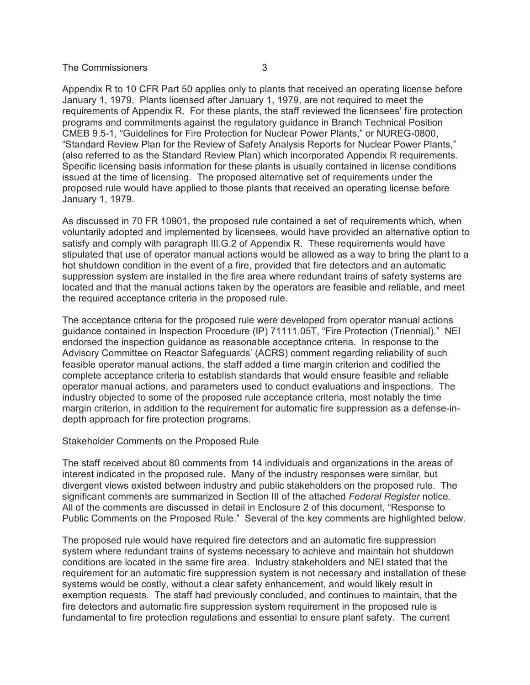Appendix R to 10 CFR Part 50 applies only to plants that received an operating license before January 1, 1979. Plants licensed after January 1, 1979, are not required to meet the requirements of Appendix R. For these plants, the staff reviewed the licensees' fire protection programs and commitments against the regulatory guidance in Branch Technical Position CMEB 9.5-1, "Guidelines for Fire Protection for Nuclear Power Plants," or NUREG-0800, "Standard Review Plan for the Review of Safety Analysis Reports for Nuclear Power Plants," (also referred to as the Standard Review Plan) which incorporated Appendix R requirements. Specific licensing basis information for these plants is usually contained in license conditions issued at the time of licensing. The proposed alternative set of requirements under the proposed rule would have applied to those plants that received an operating license before January 1, 1979.

As discussed in 70 FR 10901, the proposed rule contained a set of requirements which, when voluntarily adopted and implemented by licensees, would have provided an alternative option to satisfy and comply with paragraph III.G.2 of Appendix R. These requirements would have stipulated that use of operator manual actions would be allowed as a way to bring the plant to a hot shutdown condition in the event of a fire, provided that fire detectors and an automatic suppression system are installed in the fire area where redundant trains of safety systems are located and that the manual actions taken by the operators are feasible and reliable, and meet the required acceptance criteria in the proposed rule.

The acceptance criteria for the proposed rule were developed from operator manual actions guidance contained in Inspection Procedure (IP) 71111.05T, "Fire Protection (Triennial)." NEI endorsed the inspection guidance as reasonable acceptance criteria. In response to the Advisory Committee on Reactor Safeguards' (ACRS) comment regarding reliability of such feasible operator manual actions, the staff added a time margin criterion and codified the complete acceptance criteria to establish standards that would ensure feasible and reliable operator manual actions, and parameters used to conduct evaluations and inspections. The industry objected to some of the proposed rule acceptance criteria, most notably the time margin criterion, in addition to the requirement for automatic fire suppression as a defense-indepth approach for fire protection programs.

## Stakeholder Comments on the Proposed Rule

The staff received about 80 comments from 14 individuals and organizations in the areas of interest indicated in the proposed rule. Many of the industry responses were similar, but divergent views existed between industry and public stakeholders on the proposed rule. The significant comments are summarized in Section III of the attached *Federal Register* notice. All of the comments are discussed in detail in Enclosure 2 of this document, "Response to Public Comments on the Proposed Rule." Several of the key comments are highlighted below.

The proposed rule would have required fire detectors and an automatic fire suppression system where redundant trains of systems necessary to achieve and maintain hot shutdown conditions are located in the same fire area. Industry stakeholders and NEI stated that the requirement for an automatic fire suppression system is not necessary and installation of these systems would be costly, without a clear safety enhancement, and would likely result in exemption requests. The staff had previously concluded, and continues to maintain, that the fire detectors and automatic fire suppression system requirement in the proposed rule is fundamental to fire protection regulations and essential to ensure plant safety. The current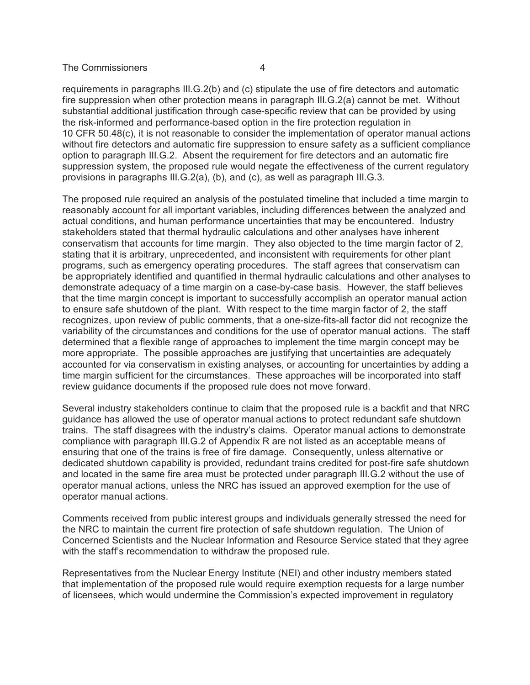requirements in paragraphs III.G.2(b) and (c) stipulate the use of fire detectors and automatic fire suppression when other protection means in paragraph III.G.2(a) cannot be met. Without substantial additional justification through case-specific review that can be provided by using the risk-informed and performance-based option in the fire protection regulation in 10 CFR 50.48(c), it is not reasonable to consider the implementation of operator manual actions without fire detectors and automatic fire suppression to ensure safety as a sufficient compliance option to paragraph III.G.2. Absent the requirement for fire detectors and an automatic fire suppression system, the proposed rule would negate the effectiveness of the current regulatory provisions in paragraphs III.G.2(a), (b), and (c), as well as paragraph III.G.3.

The proposed rule required an analysis of the postulated timeline that included a time margin to reasonably account for all important variables, including differences between the analyzed and actual conditions, and human performance uncertainties that may be encountered. Industry stakeholders stated that thermal hydraulic calculations and other analyses have inherent conservatism that accounts for time margin. They also objected to the time margin factor of 2, stating that it is arbitrary, unprecedented, and inconsistent with requirements for other plant programs, such as emergency operating procedures. The staff agrees that conservatism can be appropriately identified and quantified in thermal hydraulic calculations and other analyses to demonstrate adequacy of a time margin on a case-by-case basis. However, the staff believes that the time margin concept is important to successfully accomplish an operator manual action to ensure safe shutdown of the plant. With respect to the time margin factor of 2, the staff recognizes, upon review of public comments, that a one-size-fits-all factor did not recognize the variability of the circumstances and conditions for the use of operator manual actions. The staff determined that a flexible range of approaches to implement the time margin concept may be more appropriate. The possible approaches are justifying that uncertainties are adequately accounted for via conservatism in existing analyses, or accounting for uncertainties by adding a time margin sufficient for the circumstances. These approaches will be incorporated into staff review guidance documents if the proposed rule does not move forward.

Several industry stakeholders continue to claim that the proposed rule is a backfit and that NRC guidance has allowed the use of operator manual actions to protect redundant safe shutdown trains. The staff disagrees with the industry's claims. Operator manual actions to demonstrate compliance with paragraph III.G.2 of Appendix R are not listed as an acceptable means of ensuring that one of the trains is free of fire damage. Consequently, unless alternative or dedicated shutdown capability is provided, redundant trains credited for post-fire safe shutdown and located in the same fire area must be protected under paragraph III.G.2 without the use of operator manual actions, unless the NRC has issued an approved exemption for the use of operator manual actions.

Comments received from public interest groups and individuals generally stressed the need for the NRC to maintain the current fire protection of safe shutdown regulation. The Union of Concerned Scientists and the Nuclear Information and Resource Service stated that they agree with the staff's recommendation to withdraw the proposed rule.

Representatives from the Nuclear Energy Institute (NEI) and other industry members stated that implementation of the proposed rule would require exemption requests for a large number of licensees, which would undermine the Commission's expected improvement in regulatory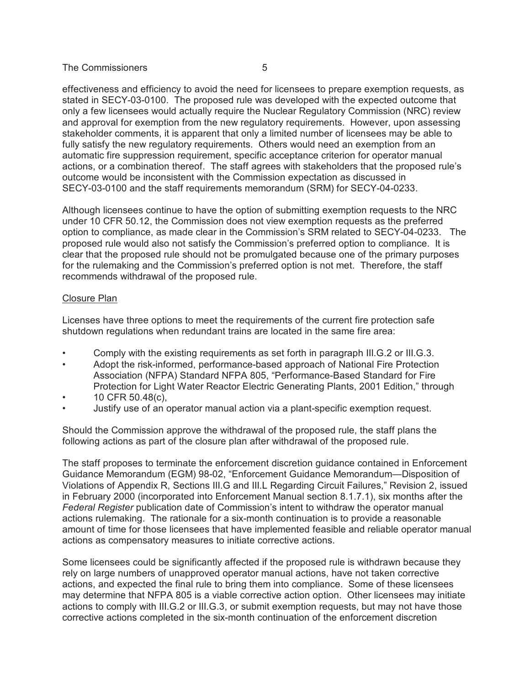effectiveness and efficiency to avoid the need for licensees to prepare exemption requests, as stated in SECY-03-0100. The proposed rule was developed with the expected outcome that only a few licensees would actually require the Nuclear Regulatory Commission (NRC) review and approval for exemption from the new regulatory requirements. However, upon assessing stakeholder comments, it is apparent that only a limited number of licensees may be able to fully satisfy the new regulatory requirements. Others would need an exemption from an automatic fire suppression requirement, specific acceptance criterion for operator manual actions, or a combination thereof. The staff agrees with stakeholders that the proposed rule's outcome would be inconsistent with the Commission expectation as discussed in SECY-03-0100 and the staff requirements memorandum (SRM) for SECY-04-0233.

Although licensees continue to have the option of submitting exemption requests to the NRC under 10 CFR 50.12, the Commission does not view exemption requests as the preferred option to compliance, as made clear in the Commission's SRM related to SECY-04-0233. The proposed rule would also not satisfy the Commission's preferred option to compliance. It is clear that the proposed rule should not be promulgated because one of the primary purposes for the rulemaking and the Commission's preferred option is not met. Therefore, the staff recommends withdrawal of the proposed rule.

## Closure Plan

Licenses have three options to meet the requirements of the current fire protection safe shutdown regulations when redundant trains are located in the same fire area:

- Comply with the existing requirements as set forth in paragraph III.G.2 or III.G.3.
- Adopt the risk-informed, performance-based approach of National Fire Protection Association (NFPA) Standard NFPA 805, "Performance-Based Standard for Fire Protection for Light Water Reactor Electric Generating Plants, 2001 Edition," through
- 10 CFR 50.48(c),
- Justify use of an operator manual action via a plant-specific exemption request.

Should the Commission approve the withdrawal of the proposed rule, the staff plans the following actions as part of the closure plan after withdrawal of the proposed rule.

The staff proposes to terminate the enforcement discretion guidance contained in Enforcement Guidance Memorandum (EGM) 98-02, "Enforcement Guidance Memorandum—Disposition of Violations of Appendix R, Sections III.G and III.L Regarding Circuit Failures," Revision 2, issued in February 2000 (incorporated into Enforcement Manual section 8.1.7.1), six months after the *Federal Register* publication date of Commission's intent to withdraw the operator manual actions rulemaking. The rationale for a six-month continuation is to provide a reasonable amount of time for those licensees that have implemented feasible and reliable operator manual actions as compensatory measures to initiate corrective actions.

Some licensees could be significantly affected if the proposed rule is withdrawn because they rely on large numbers of unapproved operator manual actions, have not taken corrective actions, and expected the final rule to bring them into compliance. Some of these licensees may determine that NFPA 805 is a viable corrective action option. Other licensees may initiate actions to comply with III.G.2 or III.G.3, or submit exemption requests, but may not have those corrective actions completed in the six-month continuation of the enforcement discretion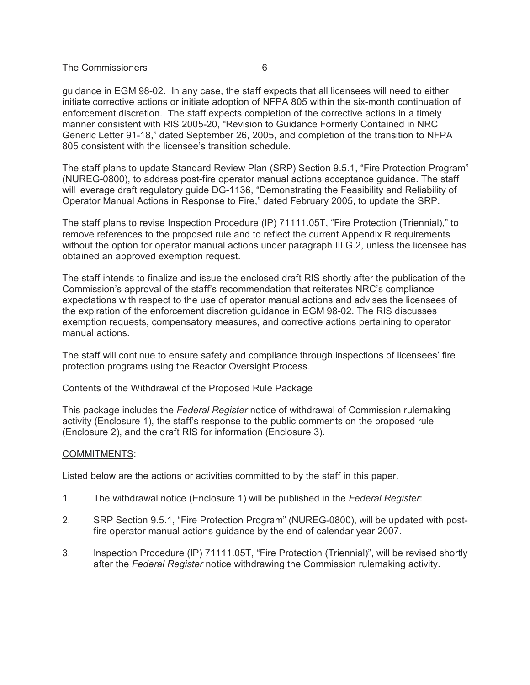guidance in EGM 98-02. In any case, the staff expects that all licensees will need to either initiate corrective actions or initiate adoption of NFPA 805 within the six-month continuation of enforcement discretion. The staff expects completion of the corrective actions in a timely manner consistent with RIS 2005-20, "Revision to Guidance Formerly Contained in NRC Generic Letter 91-18," dated September 26, 2005, and completion of the transition to NFPA 805 consistent with the licensee's transition schedule.

The staff plans to update Standard Review Plan (SRP) Section 9.5.1, "Fire Protection Program" (NUREG-0800), to address post-fire operator manual actions acceptance guidance. The staff will leverage draft regulatory guide DG-1136, "Demonstrating the Feasibility and Reliability of Operator Manual Actions in Response to Fire," dated February 2005, to update the SRP.

The staff plans to revise Inspection Procedure (IP) 71111.05T, "Fire Protection (Triennial)," to remove references to the proposed rule and to reflect the current Appendix R requirements without the option for operator manual actions under paragraph III.G.2, unless the licensee has obtained an approved exemption request.

The staff intends to finalize and issue the enclosed draft RIS shortly after the publication of the Commission's approval of the staff's recommendation that reiterates NRC's compliance expectations with respect to the use of operator manual actions and advises the licensees of the expiration of the enforcement discretion guidance in EGM 98-02. The RIS discusses exemption requests, compensatory measures, and corrective actions pertaining to operator manual actions.

The staff will continue to ensure safety and compliance through inspections of licensees' fire protection programs using the Reactor Oversight Process.

## Contents of the Withdrawal of the Proposed Rule Package

This package includes the *Federal Register* notice of withdrawal of Commission rulemaking activity (Enclosure 1), the staff's response to the public comments on the proposed rule (Enclosure 2), and the draft RIS for information (Enclosure 3).

# COMMITMENTS:

Listed below are the actions or activities committed to by the staff in this paper.

- 1. The withdrawal notice (Enclosure 1) will be published in the *Federal Register*:
- 2. SRP Section 9.5.1, "Fire Protection Program" (NUREG-0800), will be updated with postfire operator manual actions guidance by the end of calendar year 2007.
- 3. Inspection Procedure (IP) 71111.05T, "Fire Protection (Triennial)", will be revised shortly after the *Federal Register* notice withdrawing the Commission rulemaking activity.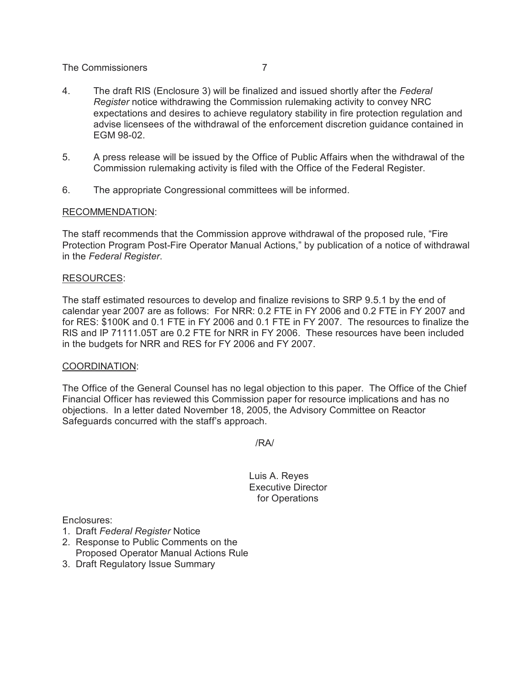- 4. The draft RIS (Enclosure 3) will be finalized and issued shortly after the *Federal Register* notice withdrawing the Commission rulemaking activity to convey NRC expectations and desires to achieve regulatory stability in fire protection regulation and advise licensees of the withdrawal of the enforcement discretion guidance contained in EGM 98-02.
- 5. A press release will be issued by the Office of Public Affairs when the withdrawal of the Commission rulemaking activity is filed with the Office of the Federal Register.
- 6. The appropriate Congressional committees will be informed.

## RECOMMENDATION:

The staff recommends that the Commission approve withdrawal of the proposed rule, "Fire Protection Program Post-Fire Operator Manual Actions," by publication of a notice of withdrawal in the *Federal Register*.

## RESOURCES:

The staff estimated resources to develop and finalize revisions to SRP 9.5.1 by the end of calendar year 2007 are as follows: For NRR: 0.2 FTE in FY 2006 and 0.2 FTE in FY 2007 and for RES: \$100K and 0.1 FTE in FY 2006 and 0.1 FTE in FY 2007. The resources to finalize the RIS and IP 71111.05T are 0.2 FTE for NRR in FY 2006. These resources have been included in the budgets for NRR and RES for FY 2006 and FY 2007.

#### COORDINATION:

The Office of the General Counsel has no legal objection to this paper. The Office of the Chief Financial Officer has reviewed this Commission paper for resource implications and has no objections. In a letter dated November 18, 2005, the Advisory Committee on Reactor Safeguards concurred with the staff's approach.

/RA/

Luis A. Reyes Executive Director for Operations

Enclosures:

- 1. Draft *Federal Register* Notice
- 2. Response to Public Comments on the Proposed Operator Manual Actions Rule
- 3. Draft Regulatory Issue Summary